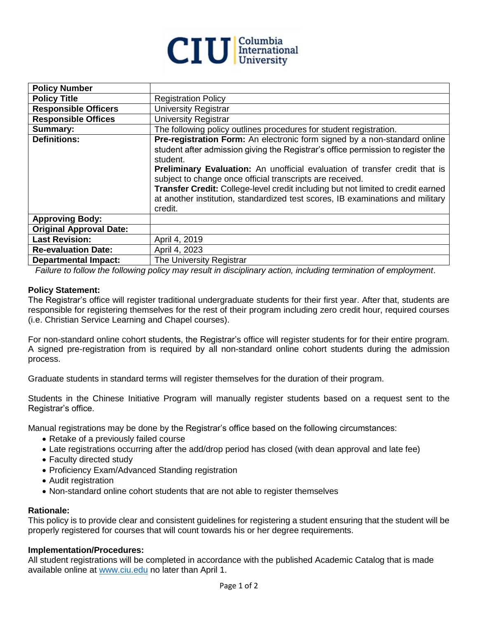

| <b>Policy Number</b>           |                                                                                                                                                                                                                                                                                                                                                                                                                                                                                                               |
|--------------------------------|---------------------------------------------------------------------------------------------------------------------------------------------------------------------------------------------------------------------------------------------------------------------------------------------------------------------------------------------------------------------------------------------------------------------------------------------------------------------------------------------------------------|
| <b>Policy Title</b>            | <b>Registration Policy</b>                                                                                                                                                                                                                                                                                                                                                                                                                                                                                    |
| <b>Responsible Officers</b>    | <b>University Registrar</b>                                                                                                                                                                                                                                                                                                                                                                                                                                                                                   |
| <b>Responsible Offices</b>     | <b>University Registrar</b>                                                                                                                                                                                                                                                                                                                                                                                                                                                                                   |
| Summary:                       | The following policy outlines procedures for student registration.                                                                                                                                                                                                                                                                                                                                                                                                                                            |
| <b>Definitions:</b>            | Pre-registration Form: An electronic form signed by a non-standard online<br>student after admission giving the Registrar's office permission to register the<br>student.<br><b>Preliminary Evaluation:</b> An unofficial evaluation of transfer credit that is<br>subject to change once official transcripts are received.<br>Transfer Credit: College-level credit including but not limited to credit earned<br>at another institution, standardized test scores, IB examinations and military<br>credit. |
| <b>Approving Body:</b>         |                                                                                                                                                                                                                                                                                                                                                                                                                                                                                                               |
| <b>Original Approval Date:</b> |                                                                                                                                                                                                                                                                                                                                                                                                                                                                                                               |
| <b>Last Revision:</b>          | April 4, 2019                                                                                                                                                                                                                                                                                                                                                                                                                                                                                                 |
| <b>Re-evaluation Date:</b>     | April 4, 2023                                                                                                                                                                                                                                                                                                                                                                                                                                                                                                 |
| <b>Departmental Impact:</b>    | The University Registrar                                                                                                                                                                                                                                                                                                                                                                                                                                                                                      |

 *Failure to follow the following policy may result in disciplinary action, including termination of employment*.

## **Policy Statement:**

The Registrar's office will register traditional undergraduate students for their first year. After that, students are responsible for registering themselves for the rest of their program including zero credit hour, required courses (i.e. Christian Service Learning and Chapel courses).

For non-standard online cohort students, the Registrar's office will register students for for their entire program. A signed pre-registration from is required by all non-standard online cohort students during the admission process.

Graduate students in standard terms will register themselves for the duration of their program.

Students in the Chinese Initiative Program will manually register students based on a request sent to the Registrar's office.

Manual registrations may be done by the Registrar's office based on the following circumstances:

- Retake of a previously failed course
- Late registrations occurring after the add/drop period has closed (with dean approval and late fee)
- Faculty directed study
- Proficiency Exam/Advanced Standing registration
- Audit registration
- Non-standard online cohort students that are not able to register themselves

### **Rationale:**

This policy is to provide clear and consistent guidelines for registering a student ensuring that the student will be properly registered for courses that will count towards his or her degree requirements.

### **Implementation/Procedures:**

All student registrations will be completed in accordance with the published Academic Catalog that is made available online at [www.ciu.edu](http://www.ciu.edu/) no later than April 1.